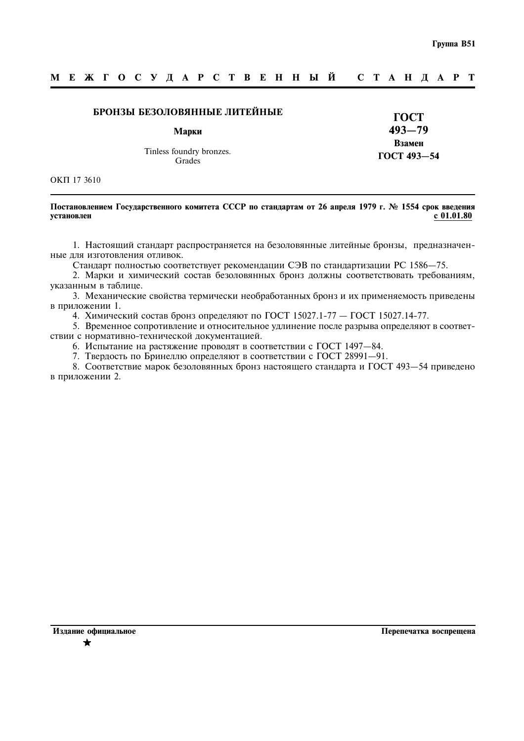### M E **X T O C Y J A P C T B E H H Ы Й** C T A H J A P T

## БРОНЗЫ БЕЗОЛОВЯННЫЕ ЛИТЕЙНЫЕ

Марки

Tinless foundry bronzes. Grades

ГОСТ  $493 - 79$ Взамен ГОСТ 493-54

OKIT 17 3610

## Постановлением Государственного комитета СССР по стандартам от 26 апреля 1979 г. № 1554 срок введения  $c 01.01.80$ установлен

1. Настоящий стандарт распространяется на безоловянные литейные бронзы, предназначенные для изготовления отливок.

Стандарт полностью соответствует рекомендации СЭВ по стандартизации РС 1586-75.

2. Марки и химический состав безоловянных бронз должны соответствовать требованиям, указанным в таблице.

3. Механические свойства термически необработанных бронз и их применяемость приведены в приложении 1.

4. Химический состав бронз определяют по ГОСТ 15027.1-77 - ГОСТ 15027.14-77.

5. Временное сопротивление и относительное удлинение после разрыва определяют в соответствии с нормативно-технической локументацией.

6. Испытание на растяжение проводят в соответствии с ГОСТ 1497-84.

7. Твердость по Бринеллю определяют в соответствии с ГОСТ 28991-91.

8. Соответствие марок безоловянных бронз настоящего стандарта и ГОСТ 493-54 приведено в приложении 2.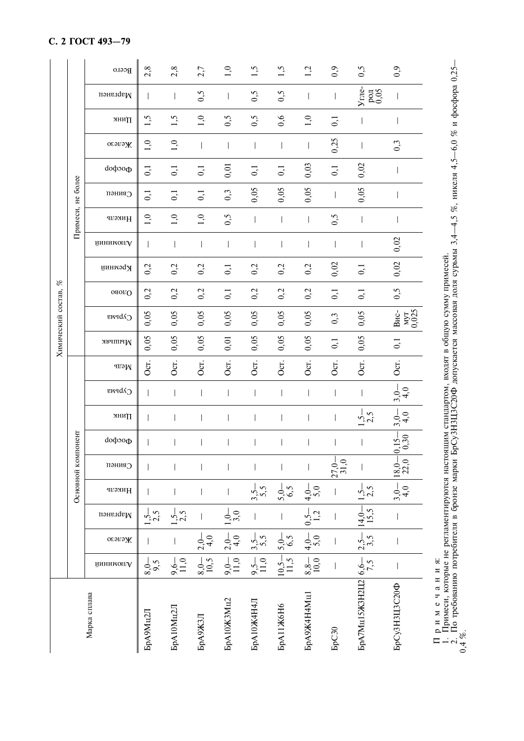| $\%$<br>Химический состав, | Примеси, не более  | Bcero                | 2, 8              | 2,8              | 2,7              | $\overline{0}$    | 1,5                | 1,5                      | 1,2                                                               | 0,9                 | 0,5                                                               | 0,9                        |
|----------------------------|--------------------|----------------------|-------------------|------------------|------------------|-------------------|--------------------|--------------------------|-------------------------------------------------------------------|---------------------|-------------------------------------------------------------------|----------------------------|
|                            |                    | изнелав              |                   |                  | 0,5              |                   | 0,5                | 0,5                      |                                                                   |                     | Угле-<br>$_{0.05}^{10}$                                           |                            |
|                            |                    | Линк                 | 1,5               | 1,5              | 1,0              | 0,5               | 0,5                | 0,6                      | 1,0                                                               | $\overline{0}$      |                                                                   |                            |
|                            |                    | осэгэж               | $\tilde{=}$       | 1,0              |                  |                   |                    | $\overline{\phantom{a}}$ |                                                                   | 0,25                |                                                                   | 0,3                        |
|                            |                    | фосфор               | $\overline{0}$    | $\overline{0,1}$ | 0,1              | 0,01              | $\overline{0}$ , 1 | $\overline{0,1}$         | 0,03                                                              | 0,1                 | 0,02                                                              |                            |
|                            |                    | Свинеп               | $\vec{0}$         | $\overline{0}$   | $\overline{0,1}$ | 0,3               | 0,05               | 0,05                     | 0,05                                                              |                     | 0,05                                                              |                            |
|                            |                    | Никель               | 1,0               | 1,0              | 1,0              | 0,5               |                    | $\overline{\phantom{a}}$ |                                                                   | 0,5                 |                                                                   |                            |
|                            |                    | йннимопгА            |                   |                  |                  |                   |                    | $\overline{\phantom{a}}$ |                                                                   |                     |                                                                   | 0,02                       |
|                            |                    | Кремний              | 0,2               | 0,2              | 0,2              | $\overline{c}$    | 0,2                | 0,2                      | 0,2                                                               | 0,02                | $\overline{0}$ , 1                                                | 0,02                       |
|                            |                    | ояогО                | 0,2               | 0,2              | 0,2              | $\overline{0}$    | 0,2                | 0,2                      | 0,2                                                               | $\overline{0}$ , 1  | $\overline{0}$ , 1                                                | 0,5                        |
|                            |                    | Сурьма               | 0,05              | 0,05             | 0,05             | 0,05              | 0,05               | 0,05                     | 0,05                                                              | 0,3                 | 0,05                                                              | MVT<br>0,025<br>$B_{HC}$ - |
|                            |                    | Мышьяк               | 0,05              | 0,05             | 0,05             | 0,01              | 0,05               | 0,05                     | 0,05                                                              | $\overline{0,1}$    | 0.05                                                              | $\overline{0}$             |
|                            | Основной компонент | медь                 | Ocr.              | Oст.             | Oст.             | Oct.              | Oст.               | Oст.                     | Oст.                                                              | Ōсі.                | Oст.                                                              | Oст.                       |
|                            |                    | Сурьма               |                   |                  |                  |                   |                    | $\overline{\phantom{a}}$ |                                                                   |                     |                                                                   | $3,0$<br>$-4,0$            |
|                            |                    | лнип                 |                   |                  |                  |                   |                    | I                        |                                                                   |                     | $1,5 - 2,5$                                                       | $\frac{1}{3}$ , 0          |
|                            |                    | do <sub>ф</sub> осфо |                   |                  |                  |                   |                    |                          |                                                                   |                     |                                                                   | $^{15-}_{0,30}$            |
|                            |                    | пэния?               |                   |                  |                  |                   |                    |                          |                                                                   | $\frac{27,0}{31,0}$ |                                                                   | $\frac{18,0}{22,0}$        |
|                            |                    | Никель               |                   |                  |                  |                   | 3,5,5              | $5,0,-$                  | $\frac{4,0}{5,0}$                                                 |                     | $1,5 - 2,5$                                                       | $3,0-$                     |
|                            |                    | изнелам              | $-2.5$            | $\frac{1}{2}5$   |                  | $1,0-$<br>3,0     |                    |                          |                                                                   |                     | $14,0-$<br>15,5                                                   |                            |
|                            |                    | осэгэж               |                   |                  | $2,0-$<br>4,0    | $2,0-$<br>4,0     | $3,5 -$<br>5.5     | $\frac{5,0}{6,5}$        | $\begin{array}{ c c } \hline 4,0 & 0,5- \\ 5,0 & 1,2 \end{array}$ |                     | $2,5 - 3,5$                                                       |                            |
|                            |                    | йинимоп.А            | $\frac{8,0}{9,5}$ | $9,6 -$<br>11,0  | $_{10,5}^{8,0-}$ | $9,0-$            | $9,5 -$<br>11,0    | $\frac{10,5-}{11,5}$     | $\frac{8,8-}{10,0}$                                               |                     |                                                                   |                            |
| Марка сплава               |                    |                      | БрА9Мц2Л          | <b>БрА10Мц2Л</b> | <b>БрА9ЖЗЛ</b>   | <b>БрА10Ж3Мц2</b> | <b>БрА10Ж4Н4Л</b>  | <b>БрА11Ж6Н6</b>         | БрА9Ж4Н4Мц1                                                       | <b>FpC30</b>        | БрА7Мц15Ж3Н2Ц2 $\Big  \begin{array}{c} 6, 6-5 \ 7, 5 \end{array}$ | БрСуЗНЗЦЗС20Ф              |

Примеч, которые не регламентируются настоящим стандартом, входят в общую сумму примесей.<br>2. По требованию потребителя в бронзе марки БрСу3Н3Ц3С20Ф допускается массовая доля сурьмы 3,4—4,5 %, никеля 4,5—6,0 % и фосфора 0,2

# С. 2 ГОСТ 493-79